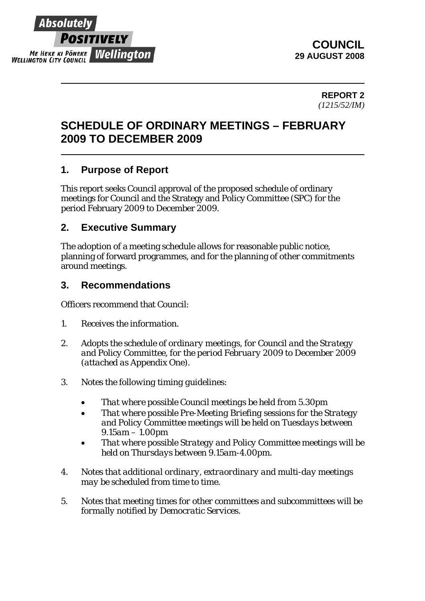

#### **REPORT 2**  *(1215/52/IM)*

# **SCHEDULE OF ORDINARY MEETINGS – FEBRUARY 2009 TO DECEMBER 2009**

### **1. Purpose of Report**

This report seeks Council approval of the proposed schedule of ordinary meetings for Council and the Strategy and Policy Committee (SPC) for the period February 2009 to December 2009.

### **2. Executive Summary**

The adoption of a meeting schedule allows for reasonable public notice, planning of forward programmes, and for the planning of other commitments around meetings.

### **3. Recommendations**

Officers recommend that Council:

- *1. Receives the information.*
- *2. Adopts the schedule of ordinary meetings, for Council and the Strategy and Policy Committee, for the period February 2009 to December 2009 (attached as Appendix One).*
- *3. Notes the following timing guidelines:* 
	- *That where possible Council meetings be held from 5.30pm*
	- *That where possible Pre-Meeting Briefing sessions for the Strategy and Policy Committee meetings will be held on Tuesdays between 9.15am – 1.00pm*
	- *That where possible Strategy and Policy Committee meetings will be held on Thursdays between 9.15am-4.00pm.*
- *4. Notes that additional ordinary, extraordinary and multi-day meetings may be scheduled from time to time.*
- *5. Notes that meeting times for other committees and subcommittees will be formally notified by Democratic Services.*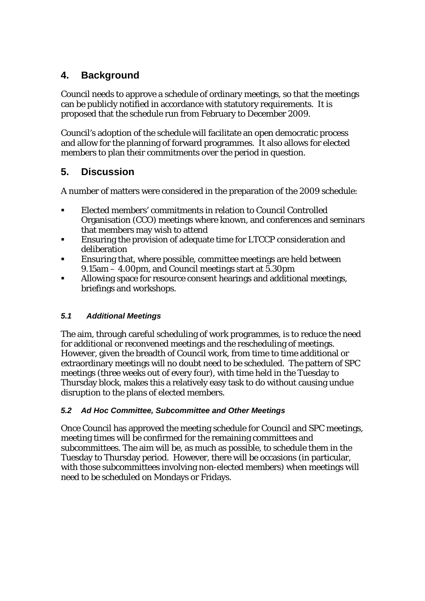## **4. Background**

Council needs to approve a schedule of ordinary meetings, so that the meetings can be publicly notified in accordance with statutory requirements. It is proposed that the schedule run from February to December 2009.

Council's adoption of the schedule will facilitate an open democratic process and allow for the planning of forward programmes. It also allows for elected members to plan their commitments over the period in question.

# **5. Discussion**

A number of matters were considered in the preparation of the 2009 schedule:

- Elected members' commitments in relation to Council Controlled Organisation (CCO) meetings where known, and conferences and seminars that members may wish to attend
- **Ensuring the provision of adequate time for LTCCP consideration and** deliberation
- Ensuring that, where possible, committee meetings are held between 9.15am – 4.00pm, and Council meetings start at 5.30pm
- Allowing space for resource consent hearings and additional meetings, briefings and workshops.

### *5.1 Additional Meetings*

The aim, through careful scheduling of work programmes, is to reduce the need for additional or reconvened meetings and the rescheduling of meetings. However, given the breadth of Council work, from time to time additional or extraordinary meetings will no doubt need to be scheduled. The pattern of SPC meetings (three weeks out of every four), with time held in the Tuesday to Thursday block, makes this a relatively easy task to do without causing undue disruption to the plans of elected members.

### *5.2 Ad Hoc Committee, Subcommittee and Other Meetings*

Once Council has approved the meeting schedule for Council and SPC meetings, meeting times will be confirmed for the remaining committees and subcommittees. The aim will be, as much as possible, to schedule them in the Tuesday to Thursday period. However, there will be occasions (in particular, with those subcommittees involving non-elected members) when meetings will need to be scheduled on Mondays or Fridays.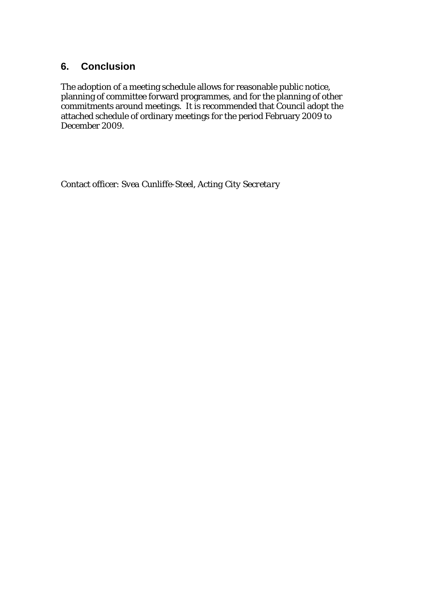### **6. Conclusion**

The adoption of a meeting schedule allows for reasonable public notice, planning of committee forward programmes, and for the planning of other commitments around meetings. It is recommended that Council adopt the attached schedule of ordinary meetings for the period February 2009 to December 2009.

Contact officer: *Svea Cunliffe-Steel, Acting City Secretary*